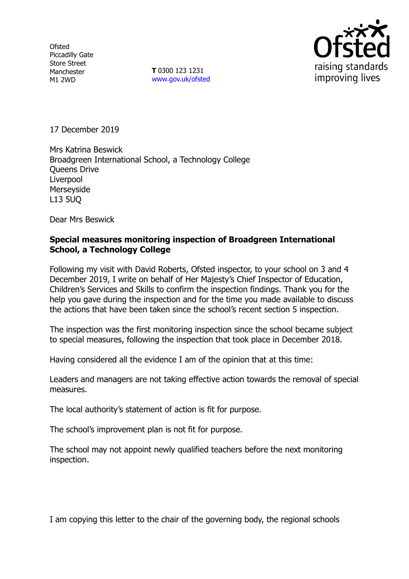**Ofsted** Piccadilly Gate Store Street Manchester M1 2WD

**T** 0300 123 1231 www.gov.uk/ofsted



17 December 2019

Mrs Katrina Beswick Broadgreen International School, a Technology College Queens Drive Liverpool Merseyside L13 5UQ

Dear Mrs Beswick

#### **Special measures monitoring inspection of Broadgreen International School, a Technology College**

Following my visit with David Roberts, Ofsted inspector, to your school on 3 and 4 December 2019, I write on behalf of Her Majesty's Chief Inspector of Education, Children's Services and Skills to confirm the inspection findings. Thank you for the help you gave during the inspection and for the time you made available to discuss the actions that have been taken since the school's recent section 5 inspection.

The inspection was the first monitoring inspection since the school became subject to special measures, following the inspection that took place in December 2018.

Having considered all the evidence I am of the opinion that at this time:

Leaders and managers are not taking effective action towards the removal of special measures.

The local authority's statement of action is fit for purpose.

The school's improvement plan is not fit for purpose.

The school may not appoint newly qualified teachers before the next monitoring inspection.

I am copying this letter to the chair of the governing body, the regional schools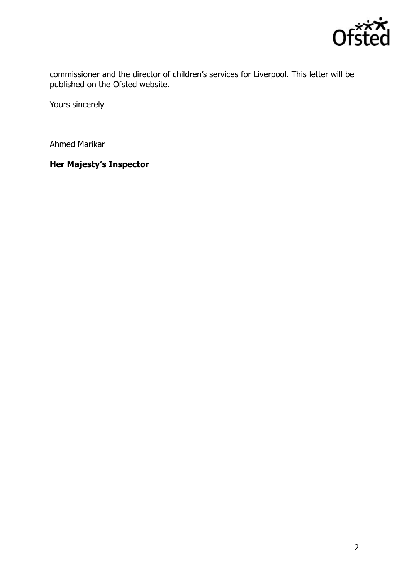

commissioner and the director of children's services for Liverpool. This letter will be published on the Ofsted website.

Yours sincerely

Ahmed Marikar

**Her Majesty's Inspector**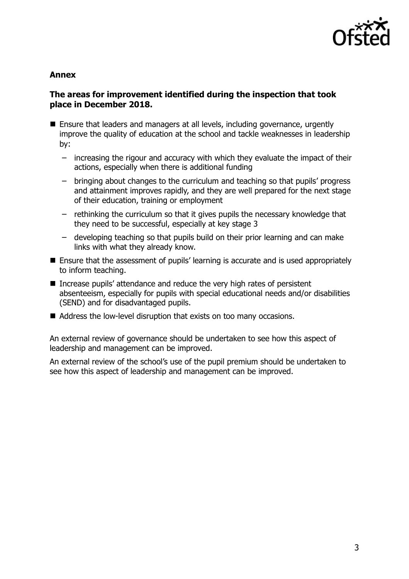

#### **Annex**

## **The areas for improvement identified during the inspection that took place in December 2018.**

- Ensure that leaders and managers at all levels, including governance, urgently improve the quality of education at the school and tackle weaknesses in leadership by:
	- increasing the rigour and accuracy with which they evaluate the impact of their actions, especially when there is additional funding
	- bringing about changes to the curriculum and teaching so that pupils' progress and attainment improves rapidly, and they are well prepared for the next stage of their education, training or employment
	- rethinking the curriculum so that it gives pupils the necessary knowledge that they need to be successful, especially at key stage 3
	- developing teaching so that pupils build on their prior learning and can make links with what they already know.
- Ensure that the assessment of pupils' learning is accurate and is used appropriately to inform teaching.
- Increase pupils' attendance and reduce the very high rates of persistent absenteeism, especially for pupils with special educational needs and/or disabilities (SEND) and for disadvantaged pupils.
- Address the low-level disruption that exists on too many occasions.

An external review of governance should be undertaken to see how this aspect of leadership and management can be improved.

An external review of the school's use of the pupil premium should be undertaken to see how this aspect of leadership and management can be improved.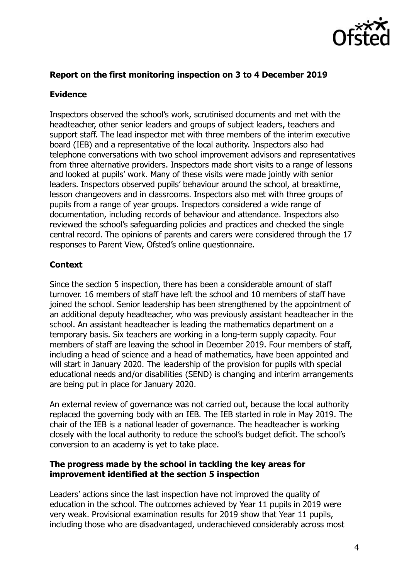

# **Report on the first monitoring inspection on 3 to 4 December 2019**

## **Evidence**

Inspectors observed the school's work, scrutinised documents and met with the headteacher, other senior leaders and groups of subject leaders, teachers and support staff. The lead inspector met with three members of the interim executive board (IEB) and a representative of the local authority. Inspectors also had telephone conversations with two school improvement advisors and representatives from three alternative providers. Inspectors made short visits to a range of lessons and looked at pupils' work. Many of these visits were made jointly with senior leaders. Inspectors observed pupils' behaviour around the school, at breaktime, lesson changeovers and in classrooms. Inspectors also met with three groups of pupils from a range of year groups. Inspectors considered a wide range of documentation, including records of behaviour and attendance. Inspectors also reviewed the school's safeguarding policies and practices and checked the single central record. The opinions of parents and carers were considered through the 17 responses to Parent View, Ofsted's online questionnaire.

# **Context**

Since the section 5 inspection, there has been a considerable amount of staff turnover. 16 members of staff have left the school and 10 members of staff have joined the school. Senior leadership has been strengthened by the appointment of an additional deputy headteacher, who was previously assistant headteacher in the school. An assistant headteacher is leading the mathematics department on a temporary basis. Six teachers are working in a long-term supply capacity. Four members of staff are leaving the school in December 2019. Four members of staff, including a head of science and a head of mathematics, have been appointed and will start in January 2020. The leadership of the provision for pupils with special educational needs and/or disabilities (SEND) is changing and interim arrangements are being put in place for January 2020.

An external review of governance was not carried out, because the local authority replaced the governing body with an IEB. The IEB started in role in May 2019. The chair of the IEB is a national leader of governance. The headteacher is working closely with the local authority to reduce the school's budget deficit. The school's conversion to an academy is yet to take place.

## **The progress made by the school in tackling the key areas for improvement identified at the section 5 inspection**

Leaders' actions since the last inspection have not improved the quality of education in the school. The outcomes achieved by Year 11 pupils in 2019 were very weak. Provisional examination results for 2019 show that Year 11 pupils, including those who are disadvantaged, underachieved considerably across most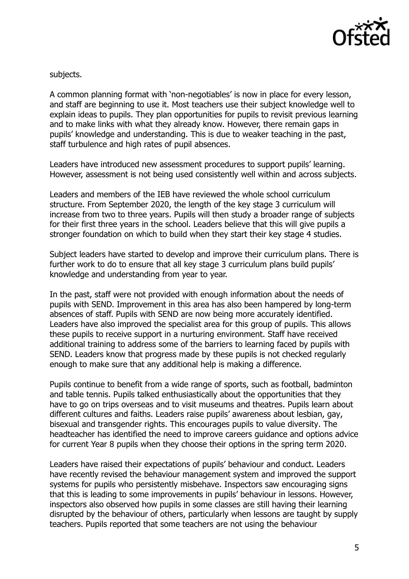

subjects.

A common planning format with 'non-negotiables' is now in place for every lesson, and staff are beginning to use it. Most teachers use their subject knowledge well to explain ideas to pupils. They plan opportunities for pupils to revisit previous learning and to make links with what they already know. However, there remain gaps in pupils' knowledge and understanding. This is due to weaker teaching in the past, staff turbulence and high rates of pupil absences.

Leaders have introduced new assessment procedures to support pupils' learning. However, assessment is not being used consistently well within and across subjects.

Leaders and members of the IEB have reviewed the whole school curriculum structure. From September 2020, the length of the key stage 3 curriculum will increase from two to three years. Pupils will then study a broader range of subjects for their first three years in the school. Leaders believe that this will give pupils a stronger foundation on which to build when they start their key stage 4 studies.

Subject leaders have started to develop and improve their curriculum plans. There is further work to do to ensure that all key stage 3 curriculum plans build pupils' knowledge and understanding from year to year.

In the past, staff were not provided with enough information about the needs of pupils with SEND. Improvement in this area has also been hampered by long-term absences of staff. Pupils with SEND are now being more accurately identified. Leaders have also improved the specialist area for this group of pupils. This allows these pupils to receive support in a nurturing environment. Staff have received additional training to address some of the barriers to learning faced by pupils with SEND. Leaders know that progress made by these pupils is not checked regularly enough to make sure that any additional help is making a difference.

Pupils continue to benefit from a wide range of sports, such as football, badminton and table tennis. Pupils talked enthusiastically about the opportunities that they have to go on trips overseas and to visit museums and theatres. Pupils learn about different cultures and faiths. Leaders raise pupils' awareness about lesbian, gay, bisexual and transgender rights. This encourages pupils to value diversity. The headteacher has identified the need to improve careers guidance and options advice for current Year 8 pupils when they choose their options in the spring term 2020.

Leaders have raised their expectations of pupils' behaviour and conduct. Leaders have recently revised the behaviour management system and improved the support systems for pupils who persistently misbehave. Inspectors saw encouraging signs that this is leading to some improvements in pupils' behaviour in lessons. However, inspectors also observed how pupils in some classes are still having their learning disrupted by the behaviour of others, particularly when lessons are taught by supply teachers. Pupils reported that some teachers are not using the behaviour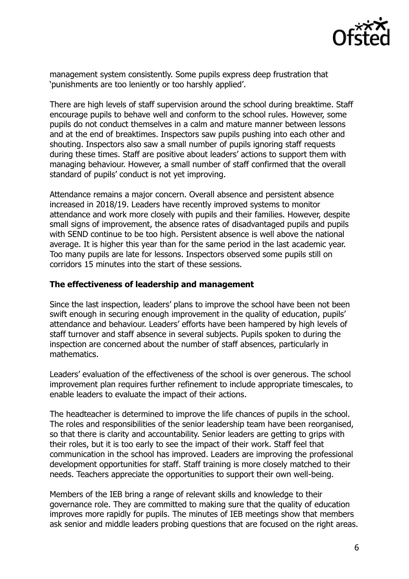

management system consistently. Some pupils express deep frustration that 'punishments are too leniently or too harshly applied'.

There are high levels of staff supervision around the school during breaktime. Staff encourage pupils to behave well and conform to the school rules. However, some pupils do not conduct themselves in a calm and mature manner between lessons and at the end of breaktimes. Inspectors saw pupils pushing into each other and shouting. Inspectors also saw a small number of pupils ignoring staff requests during these times. Staff are positive about leaders' actions to support them with managing behaviour. However, a small number of staff confirmed that the overall standard of pupils' conduct is not yet improving.

Attendance remains a major concern. Overall absence and persistent absence increased in 2018/19. Leaders have recently improved systems to monitor attendance and work more closely with pupils and their families. However, despite small signs of improvement, the absence rates of disadvantaged pupils and pupils with SEND continue to be too high. Persistent absence is well above the national average. It is higher this year than for the same period in the last academic year. Too many pupils are late for lessons. Inspectors observed some pupils still on corridors 15 minutes into the start of these sessions.

#### **The effectiveness of leadership and management**

Since the last inspection, leaders' plans to improve the school have been not been swift enough in securing enough improvement in the quality of education, pupils' attendance and behaviour. Leaders' efforts have been hampered by high levels of staff turnover and staff absence in several subjects. Pupils spoken to during the inspection are concerned about the number of staff absences, particularly in mathematics.

Leaders' evaluation of the effectiveness of the school is over generous. The school improvement plan requires further refinement to include appropriate timescales, to enable leaders to evaluate the impact of their actions.

The headteacher is determined to improve the life chances of pupils in the school. The roles and responsibilities of the senior leadership team have been reorganised, so that there is clarity and accountability. Senior leaders are getting to grips with their roles, but it is too early to see the impact of their work. Staff feel that communication in the school has improved. Leaders are improving the professional development opportunities for staff. Staff training is more closely matched to their needs. Teachers appreciate the opportunities to support their own well-being.

Members of the IEB bring a range of relevant skills and knowledge to their governance role. They are committed to making sure that the quality of education improves more rapidly for pupils. The minutes of IEB meetings show that members ask senior and middle leaders probing questions that are focused on the right areas.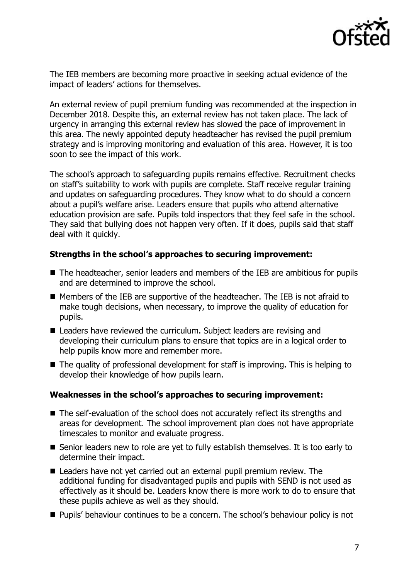

The IEB members are becoming more proactive in seeking actual evidence of the impact of leaders' actions for themselves.

An external review of pupil premium funding was recommended at the inspection in December 2018. Despite this, an external review has not taken place. The lack of urgency in arranging this external review has slowed the pace of improvement in this area. The newly appointed deputy headteacher has revised the pupil premium strategy and is improving monitoring and evaluation of this area. However, it is too soon to see the impact of this work.

The school's approach to safeguarding pupils remains effective. Recruitment checks on staff's suitability to work with pupils are complete. Staff receive regular training and updates on safeguarding procedures. They know what to do should a concern about a pupil's welfare arise. Leaders ensure that pupils who attend alternative education provision are safe. Pupils told inspectors that they feel safe in the school. They said that bullying does not happen very often. If it does, pupils said that staff deal with it quickly.

#### **Strengths in the school's approaches to securing improvement:**

- The headteacher, senior leaders and members of the IEB are ambitious for pupils and are determined to improve the school.
- Members of the IEB are supportive of the headteacher. The IEB is not afraid to make tough decisions, when necessary, to improve the quality of education for pupils.
- Leaders have reviewed the curriculum. Subject leaders are revising and developing their curriculum plans to ensure that topics are in a logical order to help pupils know more and remember more.
- The quality of professional development for staff is improving. This is helping to develop their knowledge of how pupils learn.

## **Weaknesses in the school's approaches to securing improvement:**

- The self-evaluation of the school does not accurately reflect its strengths and areas for development. The school improvement plan does not have appropriate timescales to monitor and evaluate progress.
- Senior leaders new to role are yet to fully establish themselves. It is too early to determine their impact.
- Leaders have not yet carried out an external pupil premium review. The additional funding for disadvantaged pupils and pupils with SEND is not used as effectively as it should be. Leaders know there is more work to do to ensure that these pupils achieve as well as they should.
- **Pupils' behaviour continues to be a concern. The school's behaviour policy is not**